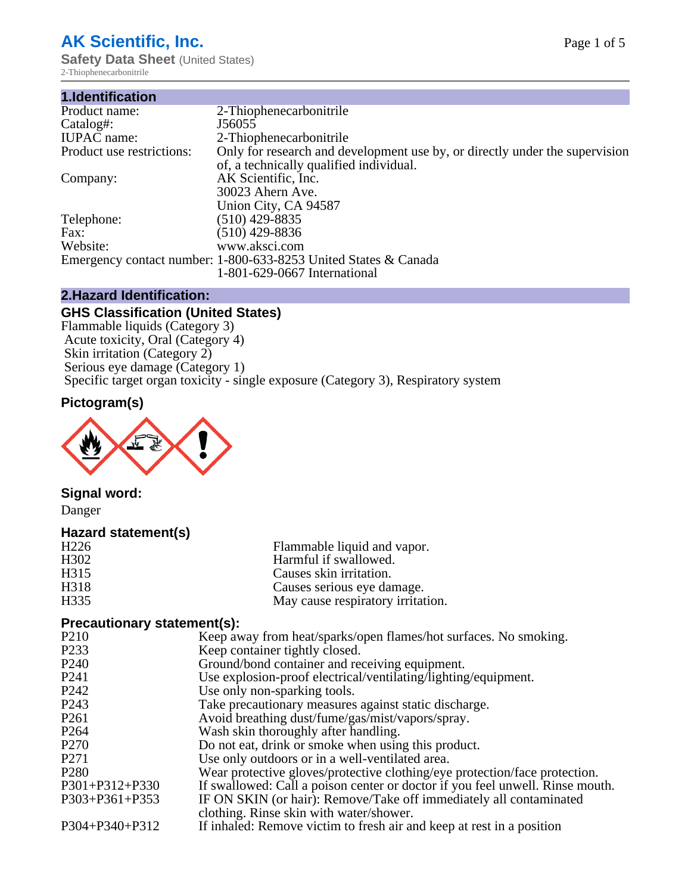## **AK Scientific, Inc.**

**Safety Data Sheet (United States)** 2-Thiophenecarbonitrile

| 1.Identification          |                                                                             |
|---------------------------|-----------------------------------------------------------------------------|
| Product name:             | 2-Thiophenecarbonitrile                                                     |
| Catalog#:                 | J56055                                                                      |
| <b>IUPAC</b> name:        | 2-Thiophenecarbonitrile                                                     |
| Product use restrictions: | Only for research and development use by, or directly under the supervision |
|                           | of, a technically qualified individual.                                     |
| Company:                  | AK Scientific, Inc.                                                         |
|                           | 30023 Ahern Ave.                                                            |
|                           | Union City, CA 94587                                                        |
| Telephone:                | $(510)$ 429-8835                                                            |
| Fax:                      | $(510)$ 429-8836                                                            |
| Website:                  | www.aksci.com                                                               |
|                           | Emergency contact number: 1-800-633-8253 United States & Canada             |
|                           | 1-801-629-0667 International                                                |

#### **2.Hazard Identification:**

### **GHS Classification (United States)**

Flammable liquids (Category 3) Acute toxicity, Oral (Category 4) Skin irritation (Category 2) Serious eye damage (Category 1) Specific target organ toxicity - single exposure (Category 3), Respiratory system

#### **Pictogram(s)**



#### **Signal word:**

Danger

#### **Hazard statement(s)**

| H <sub>226</sub><br>H <sub>302</sub><br>H <sub>3</sub> 15 | Flammable liquid and vapor.<br>Harmful if swallowed.<br>Causes skin irritation. |
|-----------------------------------------------------------|---------------------------------------------------------------------------------|
|                                                           |                                                                                 |
| H318                                                      | Causes serious eye damage.                                                      |
| H <sub>335</sub>                                          | May cause respiratory irritation.                                               |
|                                                           |                                                                                 |

#### **Precautionary statement(s):**

| P <sub>210</sub>  | Keep away from heat/sparks/open flames/hot surfaces. No smoking.              |
|-------------------|-------------------------------------------------------------------------------|
| P <sub>2</sub> 33 | Keep container tightly closed.                                                |
| P <sub>240</sub>  | Ground/bond container and receiving equipment.                                |
| P <sub>241</sub>  | Use explosion-proof electrical/ventilating/lighting/equipment.                |
| P <sub>242</sub>  | Use only non-sparking tools.                                                  |
| P <sub>243</sub>  | Take precautionary measures against static discharge.                         |
| P <sub>261</sub>  | Avoid breathing dust/fume/gas/mist/vapors/spray.                              |
| P <sub>264</sub>  | Wash skin thoroughly after handling.                                          |
| P <sub>270</sub>  | Do not eat, drink or smoke when using this product.                           |
| P <sub>271</sub>  | Use only outdoors or in a well-ventilated area.                               |
| P <sub>280</sub>  | Wear protective gloves/protective clothing/eye protection/face protection.    |
| $P301+P312+P330$  | If swallowed: Call a poison center or doctor if you feel unwell. Rinse mouth. |
| P303+P361+P353    | IF ON SKIN (or hair): Remove/Take off immediately all contaminated            |
|                   | clothing. Rinse skin with water/shower.                                       |
| P304+P340+P312    | If inhaled: Remove victim to fresh air and keep at rest in a position         |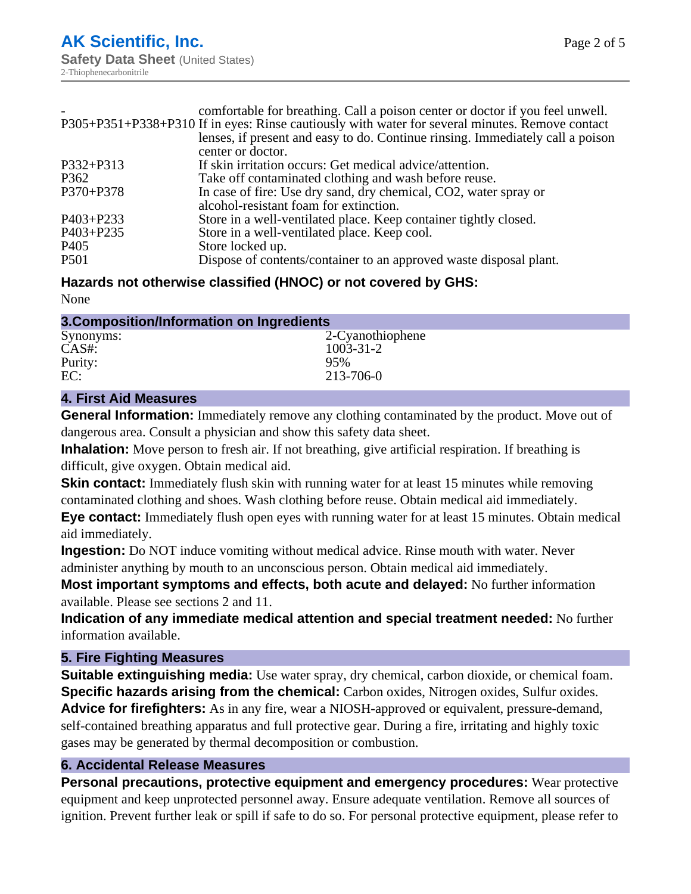|                  | comfortable for breathing. Call a poison center or doctor if you feel unwell.                   |
|------------------|-------------------------------------------------------------------------------------------------|
|                  | P305+P351+P338+P310 If in eyes: Rinse cautiously with water for several minutes. Remove contact |
|                  | lenses, if present and easy to do. Continue ringing. Immediately call a poison                  |
|                  | center or doctor.                                                                               |
| P332+P313        | If skin irritation occurs: Get medical advice/attention.                                        |
| P362             | Take off contaminated clothing and wash before reuse.                                           |
| P370+P378        | In case of fire: Use dry sand, dry chemical, CO2, water spray or                                |
|                  | alcohol-resistant foam for extinction.                                                          |
| P403+P233        | Store in a well-ventilated place. Keep container tightly closed.                                |
| P403+P235        | Store in a well-ventilated place. Keep cool.                                                    |
| P <sub>405</sub> | Store locked up.                                                                                |
| P <sub>501</sub> | Dispose of contents/container to an approved waste disposal plant.                              |

**Hazards not otherwise classified (HNOC) or not covered by GHS:** None

| 3. Composition/Information on Ingredients |                  |  |
|-------------------------------------------|------------------|--|
| Synonyms:                                 | 2-Cyanothiophene |  |
| CAS#:                                     | $1003 - 31 - 2$  |  |
| Purity:                                   | 95%              |  |
| EC:                                       | 213-706-0        |  |

#### **4. First Aid Measures**

**General Information:** Immediately remove any clothing contaminated by the product. Move out of dangerous area. Consult a physician and show this safety data sheet.

**Inhalation:** Move person to fresh air. If not breathing, give artificial respiration. If breathing is difficult, give oxygen. Obtain medical aid.

**Skin contact:** Immediately flush skin with running water for at least 15 minutes while removing contaminated clothing and shoes. Wash clothing before reuse. Obtain medical aid immediately. **Eye contact:** Immediately flush open eyes with running water for at least 15 minutes. Obtain medical aid immediately.

**Ingestion:** Do NOT induce vomiting without medical advice. Rinse mouth with water. Never administer anything by mouth to an unconscious person. Obtain medical aid immediately.

**Most important symptoms and effects, both acute and delayed:** No further information available. Please see sections 2 and 11.

**Indication of any immediate medical attention and special treatment needed:** No further information available.

#### **5. Fire Fighting Measures**

**Suitable extinguishing media:** Use water spray, dry chemical, carbon dioxide, or chemical foam. **Specific hazards arising from the chemical:** Carbon oxides, Nitrogen oxides, Sulfur oxides. **Advice for firefighters:** As in any fire, wear a NIOSH-approved or equivalent, pressure-demand, self-contained breathing apparatus and full protective gear. During a fire, irritating and highly toxic gases may be generated by thermal decomposition or combustion.

### **6. Accidental Release Measures**

**Personal precautions, protective equipment and emergency procedures:** Wear protective equipment and keep unprotected personnel away. Ensure adequate ventilation. Remove all sources of ignition. Prevent further leak or spill if safe to do so. For personal protective equipment, please refer to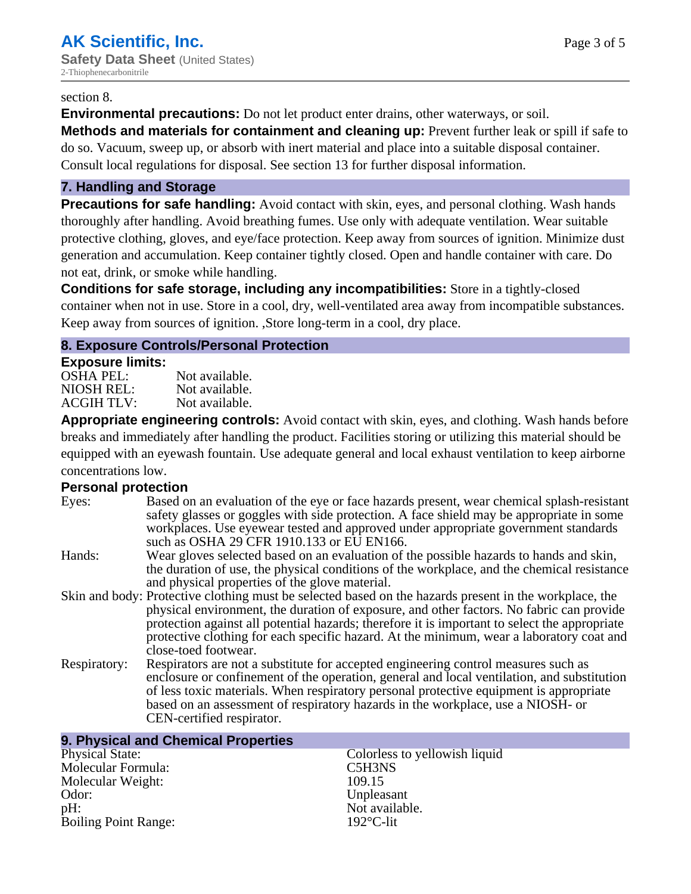#### section 8.

**Environmental precautions:** Do not let product enter drains, other waterways, or soil.

**Methods and materials for containment and cleaning up:** Prevent further leak or spill if safe to do so. Vacuum, sweep up, or absorb with inert material and place into a suitable disposal container. Consult local regulations for disposal. See section 13 for further disposal information.

#### **7. Handling and Storage**

**Precautions for safe handling:** Avoid contact with skin, eyes, and personal clothing. Wash hands thoroughly after handling. Avoid breathing fumes. Use only with adequate ventilation. Wear suitable protective clothing, gloves, and eye/face protection. Keep away from sources of ignition. Minimize dust generation and accumulation. Keep container tightly closed. Open and handle container with care. Do not eat, drink, or smoke while handling.

**Conditions for safe storage, including any incompatibilities:** Store in a tightly-closed container when not in use. Store in a cool, dry, well-ventilated area away from incompatible substances. Keep away from sources of ignition. ,Store long-term in a cool, dry place.

#### **8. Exposure Controls/Personal Protection**

#### **Exposure limits:**

| <b>OSHA PEL:</b>  | Not available. |
|-------------------|----------------|
| NIOSH REL:        | Not available. |
| <b>ACGIH TLV:</b> | Not available. |

**Appropriate engineering controls:** Avoid contact with skin, eyes, and clothing. Wash hands before breaks and immediately after handling the product. Facilities storing or utilizing this material should be equipped with an eyewash fountain. Use adequate general and local exhaust ventilation to keep airborne concentrations low.

#### **Personal protection**

| Eyes:        | Based on an evaluation of the eye or face hazards present, wear chemical splash-resistant<br>safety glasses or goggles with side protection. A face shield may be appropriate in some<br>workplaces. Use eyewear tested and approved under appropriate government standards<br>such as OSHA 29 CFR 1910.133 or EU EN166.                                                                                                |
|--------------|-------------------------------------------------------------------------------------------------------------------------------------------------------------------------------------------------------------------------------------------------------------------------------------------------------------------------------------------------------------------------------------------------------------------------|
| Hands:       | Wear gloves selected based on an evaluation of the possible hazards to hands and skin,<br>the duration of use, the physical conditions of the workplace, and the chemical resistance<br>and physical properties of the glove material.                                                                                                                                                                                  |
|              | Skin and body: Protective clothing must be selected based on the hazards present in the workplace, the<br>physical environment, the duration of exposure, and other factors. No fabric can provide<br>protection against all potential hazards; therefore it is important to select the appropriate<br>protective clothing for each specific hazard. At the minimum, wear a laboratory coat and<br>close-toed footwear. |
| Respiratory: | Respirators are not a substitute for accepted engineering control measures such as<br>enclosure or confinement of the operation, general and local ventilation, and substitution<br>of less toxic materials. When respiratory personal protective equipment is appropriate<br>based on an assessment of respiratory hazards in the workplace, use a NIOSH- or<br>CEN-certified respirator.                              |

| 9. Physical and Chemical Properties |                               |
|-------------------------------------|-------------------------------|
| <b>Physical State:</b>              | Colorless to yellowish liquid |
| Molecular Formula:                  | C5H3NS                        |
| Molecular Weight:                   | 109.15                        |
| Odor:                               | Unpleasant                    |
| $pH$ :                              | Not available.                |
| <b>Boiling Point Range:</b>         | $192^{\circ}$ C-lit           |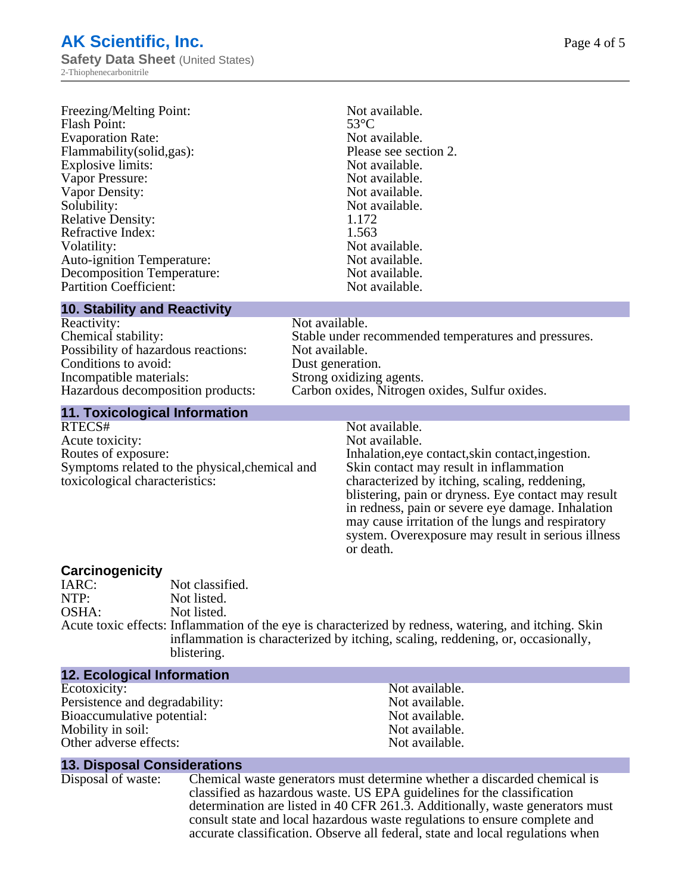| Freezing/Melting Point:           | Not available.        |
|-----------------------------------|-----------------------|
| <b>Flash Point:</b>               | $53^{\circ}$ C        |
| <b>Evaporation Rate:</b>          | Not available.        |
| Flammability(solid,gas):          | Please see section 2. |
| <b>Explosive limits:</b>          | Not available.        |
| Vapor Pressure:                   | Not available.        |
| <b>Vapor Density:</b>             | Not available.        |
| Solubility:                       | Not available.        |
| <b>Relative Density:</b>          | 1.172                 |
| Refractive Index:                 | 1.563                 |
| Volatility:                       | Not available.        |
| <b>Auto-ignition Temperature:</b> | Not available.        |
| <b>Decomposition Temperature:</b> | Not available.        |
| <b>Partition Coefficient:</b>     | Not available.        |
|                                   |                       |

#### **10. Stability and Reactivity**

Reactivity: Not available. Possibility of hazardous reactions: Not available. Conditions to avoid: Dust generation. Incompatible materials: Strong oxidizing agents.

# Chemical stability: Stable under recommended temperatures and pressures.

Hazardous decomposition products: Carbon oxides, Nitrogen oxides, Sulfur oxides.

#### **11. Toxicological Information** RTECS# Not available.<br>Acute toxicity: Not available. Acute toxicity: Routes of exposure: Inhalation,eye contact,skin contact,ingestion. Symptoms related to the physical,chemical and toxicological characteristics: Skin contact may result in inflammation characterized by itching, scaling, reddening, blistering, pain or dryness. Eye contact may result in redness, pain or severe eye damage. Inhalation may cause irritation of the lungs and respiratory system. Overexposure may result in serious illness

or death.

**Carcinogenicity** Not classified. NTP: Not listed. OSHA: Not listed. Acute toxic effects: Inflammation of the eye is characterized by redness, watering, and itching. Skin inflammation is characterized by itching, scaling, reddening, or, occasionally, blistering.

#### **12. Ecological Information**

Ecotoxicity: Not available.<br>
Persistence and degradability: Not available.<br>
Not available. Persistence and degradability:<br>
Bioaccumulative potential:<br>
Not available.<br>
Not available. Bioaccumulative potential:<br>
Mobility in soil:<br>
Mobility in soil:<br>
Not available. Mobility in soil: Other adverse effects: Not available.

#### **13. Disposal Considerations**

Disposal of waste: Chemical waste generators must determine whether a discarded chemical is classified as hazardous waste. US EPA guidelines for the classification determination are listed in 40 CFR 261.3. Additionally, waste generators must consult state and local hazardous waste regulations to ensure complete and accurate classification. Observe all federal, state and local regulations when